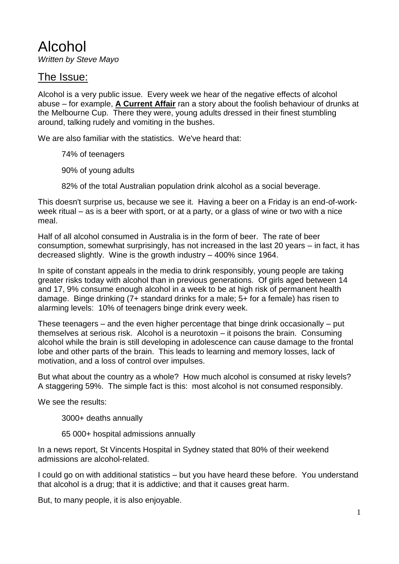Alcohol *Written by Steve Mayo*

### The Issue:

Alcohol is a very public issue. Every week we hear of the negative effects of alcohol abuse – for example, **A Current Affair** ran a story about the foolish behaviour of drunks at the Melbourne Cup. There they were, young adults dressed in their finest stumbling around, talking rudely and vomiting in the bushes.

We are also familiar with the statistics. We've heard that:

74% of teenagers

90% of young adults

82% of the total Australian population drink alcohol as a social beverage.

This doesn't surprise us, because we see it. Having a beer on a Friday is an end-of-workweek ritual – as is a beer with sport, or at a party, or a glass of wine or two with a nice meal.

Half of all alcohol consumed in Australia is in the form of beer. The rate of beer consumption, somewhat surprisingly, has not increased in the last 20 years – in fact, it has decreased slightly. Wine is the growth industry – 400% since 1964.

In spite of constant appeals in the media to drink responsibly, young people are taking greater risks today with alcohol than in previous generations. Of girls aged between 14 and 17, 9% consume enough alcohol in a week to be at high risk of permanent health damage. Binge drinking (7+ standard drinks for a male; 5+ for a female) has risen to alarming levels: 10% of teenagers binge drink every week.

These teenagers – and the even higher percentage that binge drink occasionally – put themselves at serious risk. Alcohol is a neurotoxin – it poisons the brain. Consuming alcohol while the brain is still developing in adolescence can cause damage to the frontal lobe and other parts of the brain. This leads to learning and memory losses, lack of motivation, and a loss of control over impulses.

But what about the country as a whole? How much alcohol is consumed at risky levels? A staggering 59%. The simple fact is this: most alcohol is not consumed responsibly.

We see the results:

3000+ deaths annually

65 000+ hospital admissions annually

In a news report, St Vincents Hospital in Sydney stated that 80% of their weekend admissions are alcohol-related.

I could go on with additional statistics – but you have heard these before. You understand that alcohol is a drug; that it is addictive; and that it causes great harm.

But, to many people, it is also enjoyable.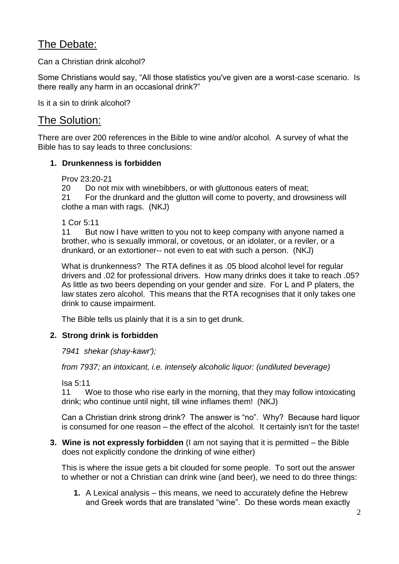# The Debate:

Can a Christian drink alcohol?

Some Christians would say, "All those statistics you've given are a worst-case scenario. Is there really any harm in an occasional drink?"

Is it a sin to drink alcohol?

## The Solution:

There are over 200 references in the Bible to wine and/or alcohol. A survey of what the Bible has to say leads to three conclusions:

#### **1. Drunkenness is forbidden**

Prov 23:20-21

20 Do not mix with winebibbers, or with gluttonous eaters of meat;

21 For the drunkard and the glutton will come to poverty, and drowsiness will clothe a man with rags. (NKJ)

1 Cor 5:11

11 But now I have written to you not to keep company with anyone named a brother, who is sexually immoral, or covetous, or an idolater, or a reviler, or a drunkard, or an extortioner-- not even to eat with such a person. (NKJ)

What is drunkenness? The RTA defines it as .05 blood alcohol level for regular drivers and .02 for professional drivers. How many drinks does it take to reach .05? As little as two beers depending on your gender and size. For L and P platers, the law states zero alcohol. This means that the RTA recognises that it only takes one drink to cause impairment.

The Bible tells us plainly that it is a sin to get drunk.

#### **2. Strong drink is forbidden**

*7941 shekar (shay-kawr');*

*from 7937; an intoxicant, i.e. intensely alcoholic liquor: (undiluted beverage)*

Isa 5:11

11 Woe to those who rise early in the morning, that they may follow intoxicating drink; who continue until night, till wine inflames them! (NKJ)

Can a Christian drink strong drink? The answer is "no". Why? Because hard liquor is consumed for one reason – the effect of the alcohol. It certainly isn't for the taste!

**3. Wine is not expressly forbidden** (I am not saying that it is permitted – the Bible does not explicitly condone the drinking of wine either)

This is where the issue gets a bit clouded for some people. To sort out the answer to whether or not a Christian can drink wine (and beer), we need to do three things:

**1.** A Lexical analysis – this means, we need to accurately define the Hebrew and Greek words that are translated "wine". Do these words mean exactly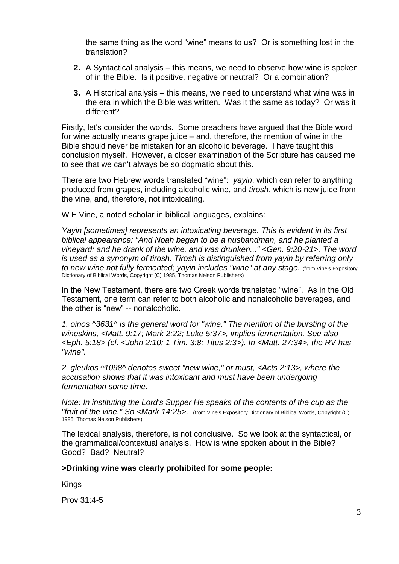the same thing as the word "wine" means to us? Or is something lost in the translation?

- **2.** A Syntactical analysis this means, we need to observe how wine is spoken of in the Bible. Is it positive, negative or neutral? Or a combination?
- **3.** A Historical analysis this means, we need to understand what wine was in the era in which the Bible was written. Was it the same as today? Or was it different?

Firstly, let's consider the words. Some preachers have argued that the Bible word for wine actually means grape juice – and, therefore, the mention of wine in the Bible should never be mistaken for an alcoholic beverage. I have taught this conclusion myself. However, a closer examination of the Scripture has caused me to see that we can't always be so dogmatic about this.

There are two Hebrew words translated "wine": *yayin*, which can refer to anything produced from grapes, including alcoholic wine, and *tirosh*, which is new juice from the vine, and, therefore, not intoxicating.

W E Vine, a noted scholar in biblical languages, explains:

*Yayin [sometimes] represents an intoxicating beverage. This is evident in its first biblical appearance: "And Noah began to be a husbandman, and he planted a vineyard: and he drank of the wine, and was drunken..." <Gen. 9:20-21>. The word is used as a synonym of tirosh. Tirosh is distinguished from yayin by referring only*  to new wine not fully fermented; yayin includes "wine" at any stage. (from Vine's Expository Dictionary of Biblical Words, Copyright (C) 1985, Thomas Nelson Publishers)

In the New Testament, there are two Greek words translated "wine". As in the Old Testament, one term can refer to both alcoholic and nonalcoholic beverages, and the other is "new" -- nonalcoholic.

*1. oinos ^3631^ is the general word for "wine." The mention of the bursting of the wineskins, <Matt. 9:17; Mark 2:22; Luke 5:37>, implies fermentation. See also <Eph. 5:18> (cf. <John 2:10; 1 Tim. 3:8; Titus 2:3>). In <Matt. 27:34>, the RV has "wine".*

*2. gleukos ^1098^ denotes sweet "new wine," or must, <Acts 2:13>, where the accusation shows that it was intoxicant and must have been undergoing fermentation some time.*

*Note: In instituting the Lord's Supper He speaks of the contents of the cup as the "fruit of the vine." So <Mark 14:25>.* (from Vine's Expository Dictionary of Biblical Words, Copyright (C) 1985, Thomas Nelson Publishers)

The lexical analysis, therefore, is not conclusive. So we look at the syntactical, or the grammatical/contextual analysis. How is wine spoken about in the Bible? Good? Bad? Neutral?

#### **>Drinking wine was clearly prohibited for some people:**

Kings

Prov 31:4-5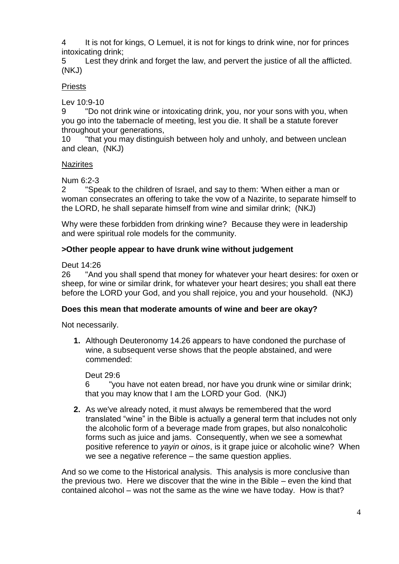4 It is not for kings, O Lemuel, it is not for kings to drink wine, nor for princes intoxicating drink;

5 Lest they drink and forget the law, and pervert the justice of all the afflicted. (NKJ)

### Priests

Lev 10:9-10

9 "Do not drink wine or intoxicating drink, you, nor your sons with you, when you go into the tabernacle of meeting, lest you die. It shall be a statute forever throughout your generations,

10 "that you may distinguish between holy and unholy, and between unclean and clean, (NKJ)

#### **Nazirites**

Num 6:2-3

2 "Speak to the children of Israel, and say to them: 'When either a man or woman consecrates an offering to take the vow of a Nazirite, to separate himself to the LORD, he shall separate himself from wine and similar drink; (NKJ)

Why were these forbidden from drinking wine? Because they were in leadership and were spiritual role models for the community.

#### **>Other people appear to have drunk wine without judgement**

Deut 14:26

26 "And you shall spend that money for whatever your heart desires: for oxen or sheep, for wine or similar drink, for whatever your heart desires; you shall eat there before the LORD your God, and you shall rejoice, you and your household. (NKJ)

#### **Does this mean that moderate amounts of wine and beer are okay?**

Not necessarily.

**1.** Although Deuteronomy 14.26 appears to have condoned the purchase of wine, a subsequent verse shows that the people abstained, and were commended:

Deut 29:6

6 "you have not eaten bread, nor have you drunk wine or similar drink; that you may know that I am the LORD your God. (NKJ)

**2.** As we've already noted, it must always be remembered that the word translated "wine" in the Bible is actually a general term that includes not only the alcoholic form of a beverage made from grapes, but also nonalcoholic forms such as juice and jams. Consequently, when we see a somewhat positive reference to *yayin* or *oinos*, is it grape juice or alcoholic wine? When we see a negative reference – the same question applies.

And so we come to the Historical analysis. This analysis is more conclusive than the previous two. Here we discover that the wine in the Bible – even the kind that contained alcohol – was not the same as the wine we have today. How is that?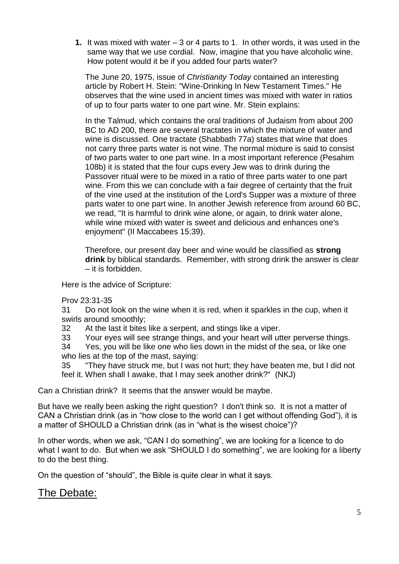**1.** It was mixed with water – 3 or 4 parts to 1. In other words, it was used in the same way that we use cordial. Now, imagine that you have alcoholic wine. How potent would it be if you added four parts water?

The June 20, 1975, issue of *Christianity Today* contained an interesting article by Robert H. Stein: "Wine-Drinking In New Testament Times." He observes that the wine used in ancient times was mixed with water in ratios of up to four parts water to one part wine. Mr. Stein explains:

In the Talmud, which contains the oral traditions of Judaism from about 200 BC to AD 200, there are several tractates in which the mixture of water and wine is discussed. One tractate (Shabbath 77a) states that wine that does not carry three parts water is not wine. The normal mixture is said to consist of two parts water to one part wine. In a most important reference (Pesahim 108b) it is stated that the four cups every Jew was to drink during the Passover ritual were to be mixed in a ratio of three parts water to one part wine. From this we can conclude with a fair degree of certainty that the fruit of the vine used at the institution of the Lord's Supper was a mixture of three parts water to one part wine. In another Jewish reference from around 60 BC, we read, "It is harmful to drink wine alone, or again, to drink water alone, while wine mixed with water is sweet and delicious and enhances one's enjoyment" (II Maccabees 15:39).

Therefore, our present day beer and wine would be classified as **strong drink** by biblical standards. Remember, with strong drink the answer is clear – it is forbidden.

Here is the advice of Scripture:

Prov 23:31-35

31 Do not look on the wine when it is red, when it sparkles in the cup, when it swirls around smoothly;

32 At the last it bites like a serpent, and stings like a viper.

33 Your eyes will see strange things, and your heart will utter perverse things.

34 Yes, you will be like one who lies down in the midst of the sea, or like one who lies at the top of the mast, saying:

35 "They have struck me, but I was not hurt; they have beaten me, but I did not feel it. When shall I awake, that I may seek another drink?" (NKJ)

Can a Christian drink? It seems that the answer would be maybe.

But have we really been asking the right question? I don't think so. It is not a matter of CAN a Christian drink (as in "how close to the world can I get without offending God"), it is a matter of SHOULD a Christian drink (as in "what is the wisest choice")?

In other words, when we ask, "CAN I do something", we are looking for a licence to do what I want to do. But when we ask "SHOULD I do something", we are looking for a liberty to do the best thing.

On the question of "should", the Bible is quite clear in what it says.

# The Debate: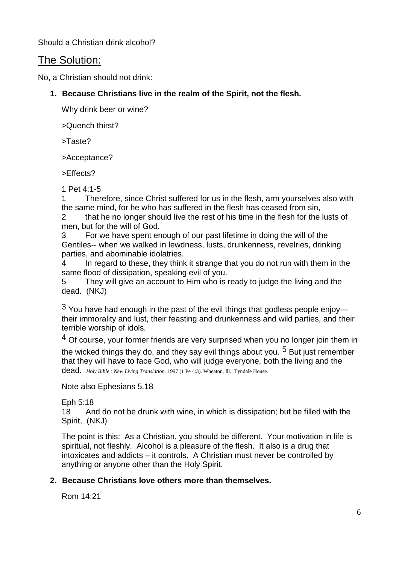Should a Christian drink alcohol?

## The Solution:

No, a Christian should not drink:

**1. Because Christians live in the realm of the Spirit, not the flesh.**

Why drink beer or wine?

>Quench thirst?

>Taste?

>Acceptance?

>Effects?

1 Pet 4:1-5

1 Therefore, since Christ suffered for us in the flesh, arm yourselves also with the same mind, for he who has suffered in the flesh has ceased from sin,

2 that he no longer should live the rest of his time in the flesh for the lusts of men, but for the will of God.

3 For we have spent enough of our past lifetime in doing the will of the Gentiles-- when we walked in lewdness, lusts, drunkenness, revelries, drinking parties, and abominable idolatries.

4 In regard to these, they think it strange that you do not run with them in the same flood of dissipation, speaking evil of you.

5 They will give an account to Him who is ready to judge the living and the dead. (NKJ)

 $3$  You have had enough in the past of the evil things that godless people enjoy their immorality and lust, their feasting and drunkenness and wild parties, and their terrible worship of idols.

4 Of course, your former friends are very surprised when you no longer join them in the wicked things they do, and they say evil things about you. <sup>5</sup> But just remember that they will have to face God, who will judge everyone, both the living and the dead. *Holy Bible : New Living Translation.* 1997 (1 Pe 4:3). Wheaton, Ill.: Tyndale House.

Note also Ephesians 5.18

Eph 5:18

18 And do not be drunk with wine, in which is dissipation; but be filled with the Spirit, (NKJ)

The point is this: As a Christian, you should be different. Your motivation in life is spiritual, not fleshly. Alcohol is a pleasure of the flesh. It also is a drug that intoxicates and addicts – it controls. A Christian must never be controlled by anything or anyone other than the Holy Spirit.

#### **2. Because Christians love others more than themselves.**

Rom 14:21